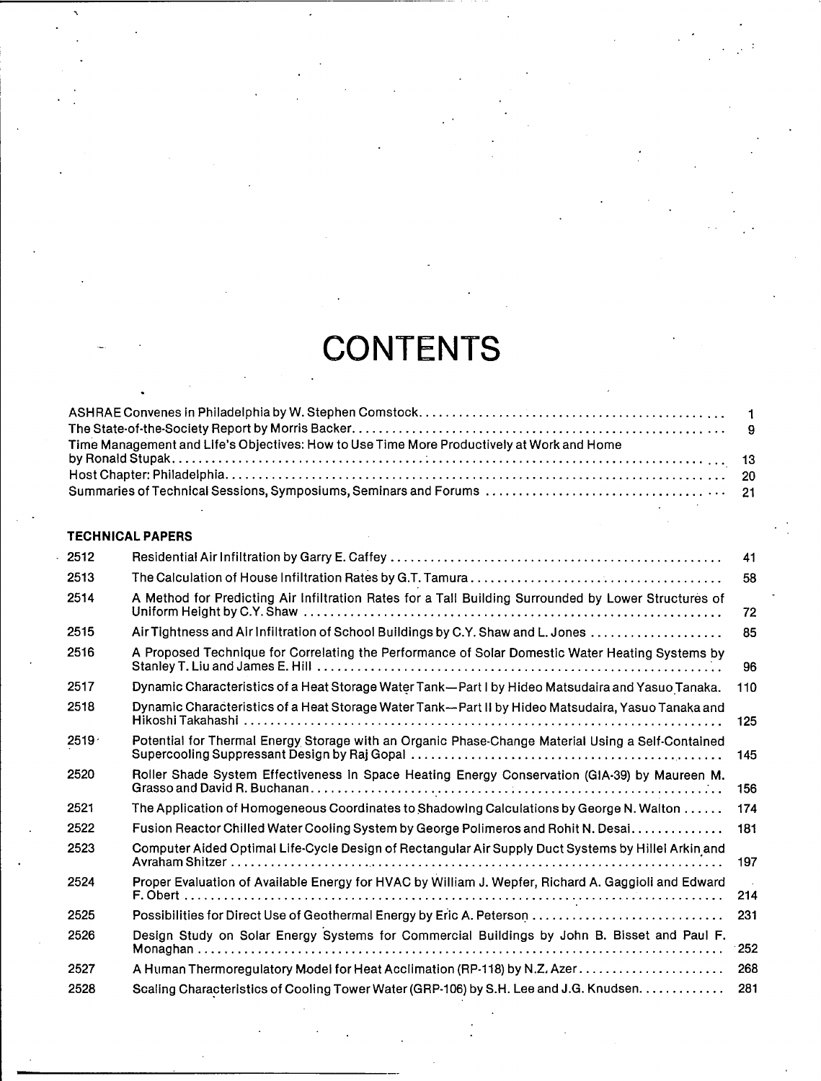## **CONTENTS**

| Time Management and Life's Objectives: How to Use Time More Productively at Work and Home |  |
|-------------------------------------------------------------------------------------------|--|

## **TECHNICAL PAPERS**

.<br>י

| 2512              |                                                                                                      | 41  |
|-------------------|------------------------------------------------------------------------------------------------------|-----|
| 2513              |                                                                                                      | 58  |
| 2514              | A Method for Predicting Air Infiltration Rates for a Tall Building Surrounded by Lower Structures of | 72  |
| 2515              | Air Tightness and Air Infiltration of School Buildings by C.Y. Shaw and L. Jones                     | 85  |
| 2516              | A Proposed Technique for Correlating the Performance of Solar Domestic Water Heating Systems by      | 96  |
| 2517              | Dynamic Characteristics of a Heat Storage Water Tank—Part I by Hideo Matsudaira and Yasuo Tanaka.    | 110 |
| 2518              | Dynamic Characteristics of a Heat Storage Water Tank—Part II by Hideo Matsudaira, Yasuo Tanaka and   | 125 |
| 2519 <sup>7</sup> | Potential for Thermal Energy Storage with an Organic Phase-Change Material Using a Self-Contained    | 145 |
| 2520              | Roller Shade System Effectiveness in Space Heating Energy Conservation (GIA-39) by Maureen M.        | 156 |
| 2521              | The Application of Homogeneous Coordinates to Shadowing Calculations by George N. Walton             | 174 |
| 2522              | Fusion Reactor Chilled Water Cooling System by George Polimeros and Rohit N. Desai                   | 181 |
| 2523              | Computer Aided Optimal Life-Cycle Design of Rectangular Air Supply Duct Systems by Hillel Arkin and  | 197 |
| 2524              | Proper Evaluation of Available Energy for HVAC by William J. Wepfer, Richard A. Gaggioli and Edward  | 214 |
| 2525              |                                                                                                      | 231 |
| 2526              | Design Study on Solar Energy Systems for Commercial Buildings by John B. Bisset and Paul F.          | 252 |
| 2527              |                                                                                                      | 268 |
| 2528              | Scaling Characteristics of Cooling Tower Water (GRP-106) by S.H. Lee and J.G. Knudsen.               | 281 |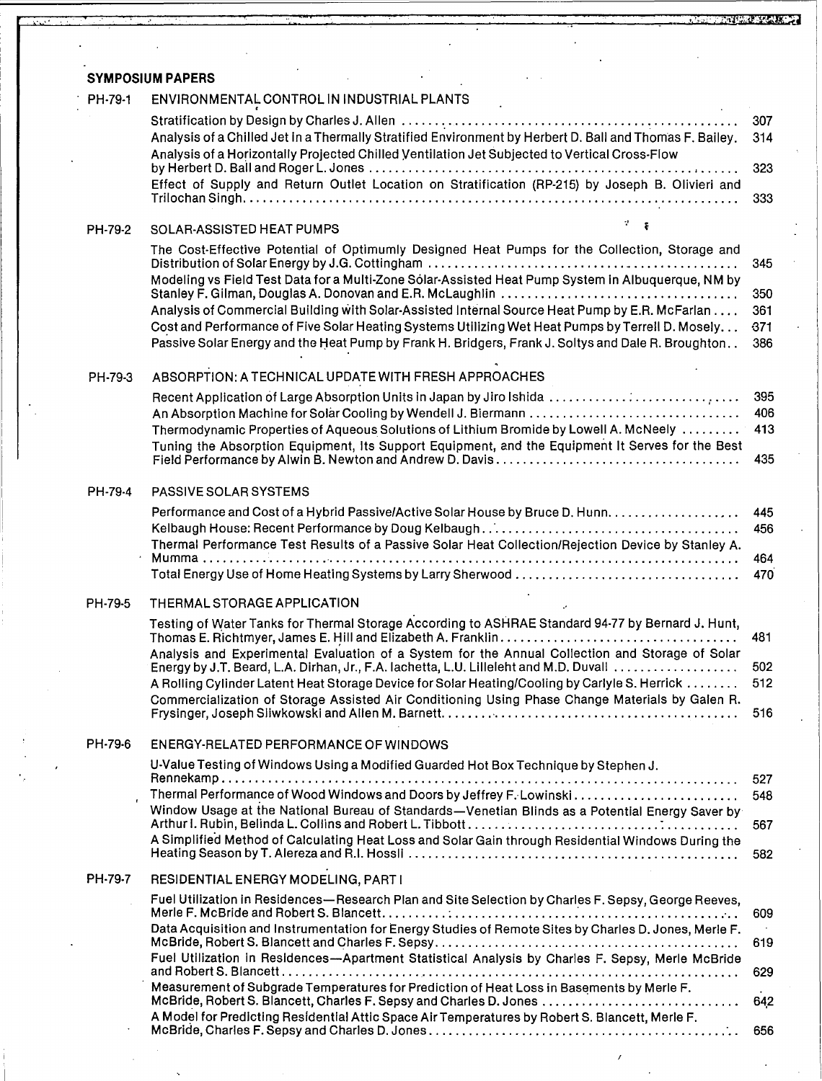## **SYMPOSIUM PAPERS** PH-79-1 ENVIRONMENTAL CONTROL IN INDUSTRIAL PLANTS Stratification by Design by Charles J. Allen , \_. . . . . . . . . . . . . . . . . 307 Analysis of a Chilled Jet in a Thermally Stratified Environment by Herbert D. Ball and Thomas F. Bailey. 314 Analysis of a Horizontally Projected Chilled Ventilation Jet Subjected to Vertical Cross-Flow by Herbert D. Ball and Roger L. Jones \_. . . • . . . . .. 323 Effect of Supply and Return Outlet Location on Stratification (RP-215) by Joseph B. Olivieri and Trilochan Singh \_. . . . . . . . . . 333 PH-79-2 SOLAR-ASSISTED HEAT PUMPS The Cost-Effective Potential of Optimumly Designed Heat Pumps for the Collection, Storage and Distribution of Solar Energy by J.G. Cottingham '. . . . . . . . . . . . . . . . . 345 Modeling vs Field Test Data for a Multi-Zone Solar-Assisted Heat Pump System in Albuquerque, NM by Stanley F. Gilman, Douglas A. Donovan and E.R. McLaughlin. . . . . . . . . . . . . . . . . . . . . . . . . . . . . . . . . . .. 350 Analysis of Commercial Building with Solar-Assisted Internal Source Heat Pump by E.R. McFarlan. . . . 361 Cost and Performance of Five Solar Heating Systems Utilizing Wet Heat Pumps by Terrell D. Mosely. . . 671 Passive Solar Energy and the Heat Pump by Frank H. Bridgers, Frank J. Soltys and Dale R. Broughton. . 386 PH-79-3 ABSORPTION: A TECHNICAL UPDATE WITH FRESH APPROACHES Recent Application of Large Absorption Units in Japan by Jiro Ishida  $\ldots, \ldots, \ldots, \ldots, \ldots, \ldots, \ldots$  395 An Absorption Machine for Soliu Cooling by Wendell J. Biermann \_ , 406 Thermodynamic Properties of Aqueous Solutions of Lithium Bromide by Lowell A. McNeely  $\dots\dots\dots$  413 Tuning the Absorption Equipment, Its Support Equipment, and the Equipment It Serves for the Best Field Performance by Alwin B. Newton and Andrew D. Davis , , 435 PH·79-4 PASSIVE SOLAR SYSTEMS Performance and Cost of a Hybrid Passive/Active Solar House by Bruce D. Hunn. . . . . . . . . . . . . . . . . 445 Kelbaugh House: Recent Performance by Doug Kelbaugh ..' , 456 Thermal Performance Test Results of a Passive Solar Heat Collection/Rejection Device by Stanley A. Mumma '.............................................................. <sup>464</sup> Total Energy Use of Home Heating Systems by Larry Sherwood , 470' PH·79·5 THERMAL STORAGE APPLICATION Testing of Water Tanks for Thermal Storage According to ASHRAE Standard 94-77 by Bernard J. Hunt,  $T$ homas E. Richtmyer, James E. Hill and Elizabeth A. Franklin  $\ldots$   $\ldots$   $\ldots$   $\ldots$   $\ldots$   $\ldots$   $\ldots$  481 Analysis and Experimental Evaluation of a System for the Annual Collection and Storage of Solar Energy by J.T. Beard, L.A. Dirhan, Jr., F.A. lachetta, L.U. Lilleleht and M.D. Duvall. . . . . . . . . . . . . . . . . . 502 A Rolling Cylinder Latent Heat Storage Device for Solar Heating/Cooling by Carlyle S. Herrick. . . . . . .. 512 Commercialization of Storage Assisted Air Conditioning Using Phase Change Materials by Galen R. Frysinger, Joseph Sliwkowski and Allen M. Barnett. '. . . . . . .. . . .. . . . . . . . . .. . . .. . . .. . . . . 516 PH-79-6 ENERGY-RELATED PERFORMANCE OF WINDOWS U-Value Testing of Windows Using a Modified Guarded Hot Box Technique by Stephen J. Rennekamp. . . . . . . . . . . . . . . . . . . . . . . . . . . . . . . . . . . . . . . . . . . . . . . . . . . . . . . . . . . . . . . . . . . . . . . . . . . . .. 527 , Thermal Performan,ce of Wood Windows and Doors by Jeffrey F.Lowinski. . . . . . . . . . .. . . .. . . . . . . . . . 548 Window Usage at the National Bureau of Standards-Venetian Blinds as a Potential Energy Saver by Arthur I. Rubin, Belinda L. Collins and Robert L. Tibbott : . . . . . . . . . .. 567 A Simplified Method of Calculating Heat Loss and Solar Gain through Residential Windows During the Heating Season by T. Alereza and R.1. Hossli \_. . . . . . 582 PH-79-7 RESIDENTIAL ENERGY MODELING, PART I Fuel Utilization in Residences-Research Plan and Site Selection by Charles F. Sepsy, George Reeves, Merle F. McBride and Robert S. Blancett. : : '.. 609 Data Acquisition and Instrumentation for Energy Studies of Remote Sites by Charles D. Jones, Merle F. McBride, Robert S. Blancett and Charles F. Sepsy. . . . . . . . . . . . . . . . . . . . . . . . . . . . . . . . . . . . . . . . . . . . .. 619 Fuel Utilization in Residences-Apartment Statistical Analysis by Charles F. Sepsy, Merle McBride and Robert S. Blancett , 629 Measurement of Subgrade Temperatures for Prediction of Heat Loss in Basements by Merle F. McBride, Robert S. Blancett, Charles F. Sepsy and Charles D. Jones , 64,2 A Model for Predicting Residential Attic Space Air Temperatures by Robert S. Blancett, Merle F.

McBride, Charles F. Sepsy and Charles D. Jones '.. 656